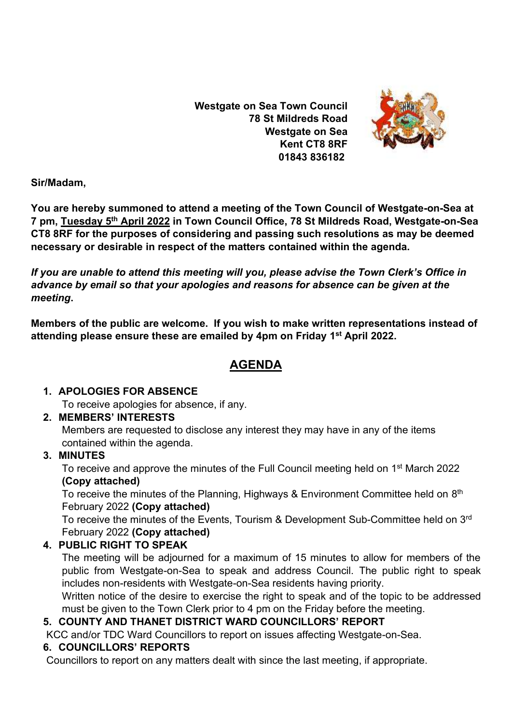**Westgate on Sea Town Council 78 St Mildreds Road Westgate on Sea Kent CT8 8RF 01843 836182**



**Sir/Madam,** 

**You are hereby summoned to attend a meeting of the Town Council of Westgate-on-Sea at 7 pm, Tuesday 5 th April 2022 in Town Council Office, 78 St Mildreds Road, Westgate-on-Sea CT8 8RF for the purposes of considering and passing such resolutions as may be deemed necessary or desirable in respect of the matters contained within the agenda.**

*If you are unable to attend this meeting will you, please advise the Town Clerk's Office in advance by email so that your apologies and reasons for absence can be given at the meeting***.**

**Members of the public are welcome. If you wish to make written representations instead of attending please ensure these are emailed by 4pm on Friday 1 st April 2022.**

# **AGENDA**

## **1. APOLOGIES FOR ABSENCE**

To receive apologies for absence, if any.

# **2. MEMBERS' INTERESTS**

Members are requested to disclose any interest they may have in any of the items contained within the agenda.

# **3. MINUTES**

To receive and approve the minutes of the Full Council meeting held on 1<sup>st</sup> March 2022 **(Copy attached)**

To receive the minutes of the Planning, Highways & Environment Committee held on 8<sup>th</sup> February 2022 **(Copy attached)**

To receive the minutes of the Events, Tourism & Development Sub-Committee held on 3<sup>rd</sup> February 2022 **(Copy attached)**

# **4. PUBLIC RIGHT TO SPEAK**

The meeting will be adjourned for a maximum of 15 minutes to allow for members of the public from Westgate-on-Sea to speak and address Council. The public right to speak includes non-residents with Westgate-on-Sea residents having priority.

Written notice of the desire to exercise the right to speak and of the topic to be addressed must be given to the Town Clerk prior to 4 pm on the Friday before the meeting.

# **5. COUNTY AND THANET DISTRICT WARD COUNCILLORS' REPORT**

KCC and/or TDC Ward Councillors to report on issues affecting Westgate-on-Sea.

## **6. COUNCILLORS' REPORTS**

Councillors to report on any matters dealt with since the last meeting, if appropriate.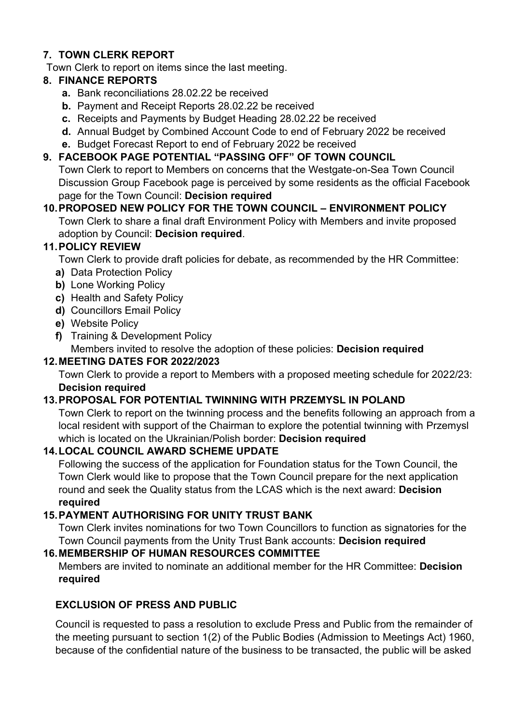## **7. TOWN CLERK REPORT**

Town Clerk to report on items since the last meeting.

#### **8. FINANCE REPORTS**

- **a.** Bank reconciliations 28.02.22 be received
- **b.** Payment and Receipt Reports 28.02.22 be received
- **c.** Receipts and Payments by Budget Heading 28.02.22 be received
- **d.** Annual Budget by Combined Account Code to end of February 2022 be received
- **e.** Budget Forecast Report to end of February 2022 be received

## **9. FACEBOOK PAGE POTENTIAL "PASSING OFF" OF TOWN COUNCIL**

Town Clerk to report to Members on concerns that the Westgate-on-Sea Town Council Discussion Group Facebook page is perceived by some residents as the official Facebook page for the Town Council: **Decision required**

# **10.PROPOSED NEW POLICY FOR THE TOWN COUNCIL – ENVIRONMENT POLICY**

Town Clerk to share a final draft Environment Policy with Members and invite proposed adoption by Council: **Decision required**.

## **11.POLICY REVIEW**

Town Clerk to provide draft policies for debate, as recommended by the HR Committee:

- **a)** Data Protection Policy
- **b)** Lone Working Policy
- **c)** Health and Safety Policy
- **d)** Councillors Email Policy
- **e)** Website Policy
- **f)** Training & Development Policy

Members invited to resolve the adoption of these policies: **Decision required**

# **12.MEETING DATES FOR 2022/2023**

Town Clerk to provide a report to Members with a proposed meeting schedule for 2022/23: **Decision required**

# **13.PROPOSAL FOR POTENTIAL TWINNING WITH PRZEMYSL IN POLAND**

Town Clerk to report on the twinning process and the benefits following an approach from a local resident with support of the Chairman to explore the potential twinning with Przemysl which is located on the Ukrainian/Polish border: **Decision required**

# **14.LOCAL COUNCIL AWARD SCHEME UPDATE**

Following the success of the application for Foundation status for the Town Council, the Town Clerk would like to propose that the Town Council prepare for the next application round and seek the Quality status from the LCAS which is the next award: **Decision required**

# **15.PAYMENT AUTHORISING FOR UNITY TRUST BANK**

Town Clerk invites nominations for two Town Councillors to function as signatories for the Town Council payments from the Unity Trust Bank accounts: **Decision required**

## **16.MEMBERSHIP OF HUMAN RESOURCES COMMITTEE**

Members are invited to nominate an additional member for the HR Committee: **Decision required**

# **EXCLUSION OF PRESS AND PUBLIC**

Council is requested to pass a resolution to exclude Press and Public from the remainder of the meeting pursuant to section 1(2) of the Public Bodies (Admission to Meetings Act) 1960, because of the confidential nature of the business to be transacted, the public will be asked